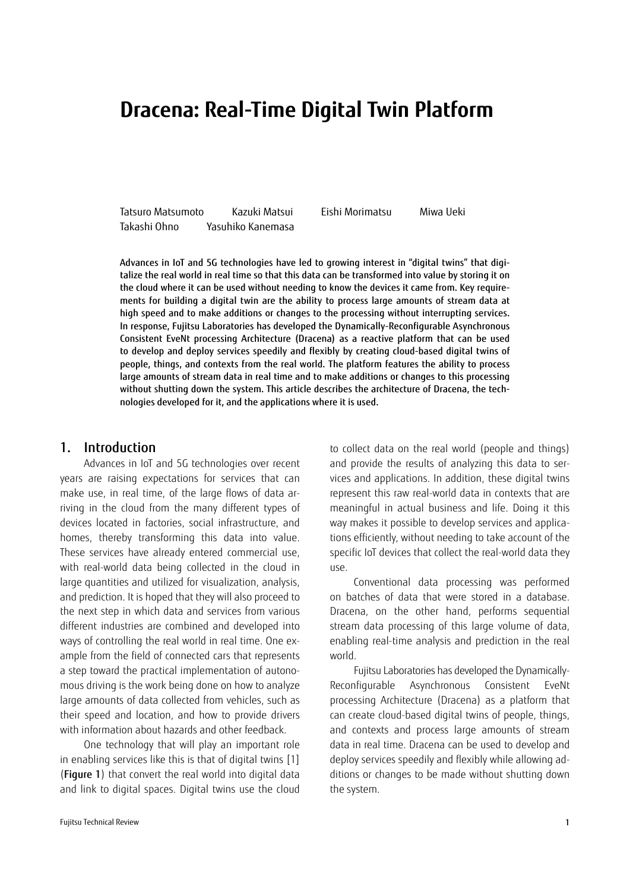# **Dracena: Real-Time Digital Twin Platform**

Tatsuro Matsumoto Kazuki Matsui Eishi Morimatsu Miwa Ueki Takashi Ohno Yasuhiko Kanemasa

Advances in IoT and 5G technologies have led to growing interest in "digital twins" that digitalize the real world in real time so that this data can be transformed into value by storing it on the cloud where it can be used without needing to know the devices it came from. Key requirements for building a digital twin are the ability to process large amounts of stream data at high speed and to make additions or changes to the processing without interrupting services. In response, Fujitsu Laboratories has developed the Dynamically-Reconfigurable Asynchronous Consistent EveNt processing Architecture (Dracena) as a reactive platform that can be used to develop and deploy services speedily and flexibly by creating cloud-based digital twins of people, things, and contexts from the real world. The platform features the ability to process large amounts of stream data in real time and to make additions or changes to this processing without shutting down the system. This article describes the architecture of Dracena, the technologies developed for it, and the applications where it is used.

## 1. Introduction

Advances in IoT and 5G technologies over recent years are raising expectations for services that can make use, in real time, of the large flows of data arriving in the cloud from the many different types of devices located in factories, social infrastructure, and homes, thereby transforming this data into value. These services have already entered commercial use, with real-world data being collected in the cloud in large quantities and utilized for visualization, analysis, and prediction. It is hoped that they will also proceed to the next step in which data and services from various different industries are combined and developed into ways of controlling the real world in real time. One example from the field of connected cars that represents a step toward the practical implementation of autonomous driving is the work being done on how to analyze large amounts of data collected from vehicles, such as their speed and location, and how to provide drivers with information about hazards and other feedback.

One technology that will play an important role in enabling services like this is that of digital twins [\[1\]](#page-5-0) (Figure 1) that convert the real world into digital data and link to digital spaces. Digital twins use the cloud

and provide the results of analyzing this data to services and applications. In addition, these digital twins represent this raw real-world data in contexts that are meaningful in actual business and life. Doing it this way makes it possible to develop services and applications efficiently, without needing to take account of the specific IoT devices that collect the real-world data they use. Conventional data processing was performed

to collect data on the real world (people and things)

on batches of data that were stored in a database. Dracena, on the other hand, performs sequential stream data processing of this large volume of data, enabling real-time analysis and prediction in the real world.

Fujitsu Laboratories has developed the Dynamically-Reconfigurable Asynchronous Consistent EveNt processing Architecture (Dracena) as a platform that can create cloud-based digital twins of people, things, and contexts and process large amounts of stream data in real time. Dracena can be used to develop and deploy services speedily and flexibly while allowing additions or changes to be made without shutting down the system.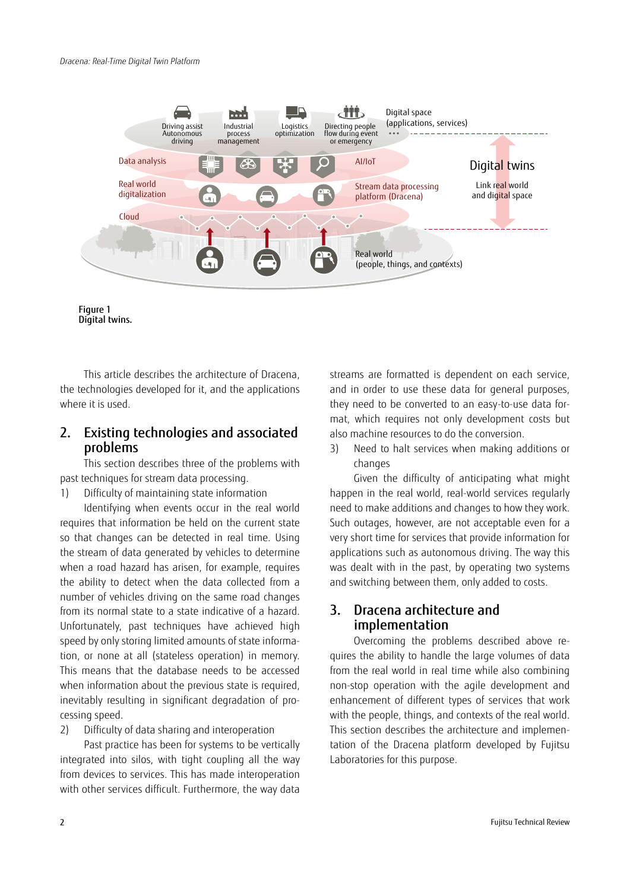

Figure 1 Digital twins.

This article describes the architecture of Dracena, the technologies developed for it, and the applications where it is used.

# 2. Existing technologies and associated problems

This section describes three of the problems with past techniques for stream data processing.

1) Difficulty of maintaining state information

Identifying when events occur in the real world requires that information be held on the current state so that changes can be detected in real time. Using the stream of data generated by vehicles to determine when a road hazard has arisen, for example, requires the ability to detect when the data collected from a number of vehicles driving on the same road changes from its normal state to a state indicative of a hazard. Unfortunately, past techniques have achieved high speed by only storing limited amounts of state information, or none at all (stateless operation) in memory. This means that the database needs to be accessed when information about the previous state is required, inevitably resulting in significant degradation of processing speed.

2) Difficulty of data sharing and interoperation

Past practice has been for systems to be vertically integrated into silos, with tight coupling all the way from devices to services. This has made interoperation with other services difficult. Furthermore, the way data

streams are formatted is dependent on each service, and in order to use these data for general purposes, they need to be converted to an easy-to-use data format, which requires not only development costs but also machine resources to do the conversion.

3) Need to halt services when making additions or changes

Given the difficulty of anticipating what might happen in the real world, real-world services regularly need to make additions and changes to how they work. Such outages, however, are not acceptable even for a very short time for services that provide information for applications such as autonomous driving. The way this was dealt with in the past, by operating two systems and switching between them, only added to costs.

# 3. Dracena architecture and implementation

Overcoming the problems described above requires the ability to handle the large volumes of data from the real world in real time while also combining non-stop operation with the agile development and enhancement of different types of services that work with the people, things, and contexts of the real world. This section describes the architecture and implementation of the Dracena platform developed by Fujitsu Laboratories for this purpose.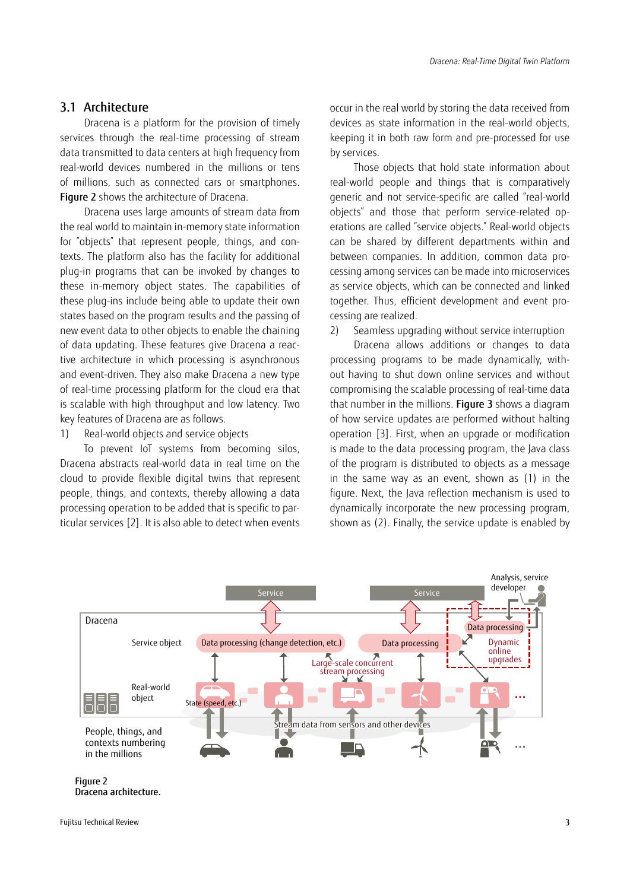#### 3.1 Architecture

Dracena is a platform for the provision of timely services through the real-time processing of stream data transmitted to data centers at high frequency from real-world devices numbered in the millions or tens of millions, such as connected cars or smartphones. Figure 2 shows the architecture of Dracena.

Dracena uses large amounts of stream data from the real world to maintain in-memory state information for "objects" that represent people, things, and contexts. The platform also has the facility for additional plug-in programs that can be invoked by changes to these in-memory object states. The capabilities of these plug-ins include being able to update their own states based on the program results and the passing of new event data to other objects to enable the chaining of data updating. These features give Dracena a reactive architecture in which processing is asynchronous and event-driven. They also make Dracena a new type of real-time processing platform for the cloud era that is scalable with high throughput and low latency. Two key features of Dracena are as follows.

1) Real-world objects and service objects

To prevent IoT systems from becoming silos, Dracena abstracts real-world data in real time on the cloud to provide flexible digital twins that represent people, things, and contexts, thereby allowing a data processing operation to be added that is specific to particular services [\[2\]](#page-5-1). It is also able to detect when events occur in the real world by storing the data received from devices as state information in the real-world objects, keeping it in both raw form and pre-processed for use by services.

Those objects that hold state information about real-world people and things that is comparatively generic and not service-specific are called "real-world objects" and those that perform service-related operations are called "service objects." Real-world objects can be shared by different departments within and between companies. In addition, common data processing among services can be made into microservices as service objects, which can be connected and linked together. Thus, efficient development and event processing are realized.

2) Seamless upgrading without service interruption

Dracena allows additions or changes to data processing programs to be made dynamically, without having to shut down online services and without compromising the scalable processing of real-time data that number in the millions. Figure 3 shows a diagram of how service updates are performed without halting operation [\[3\]](#page-5-2). First, when an upgrade or modification is made to the data processing program, the Java class of the program is distributed to objects as a message in the same way as an event, shown as (1) in the figure. Next, the Java reflection mechanism is used to dynamically incorporate the new processing program, shown as (2). Finally, the service update is enabled by

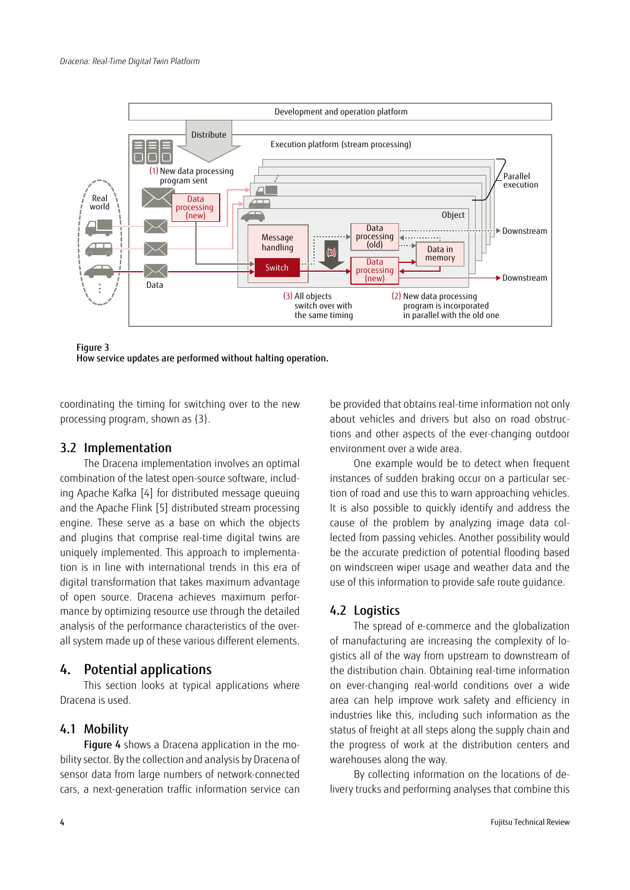

Figure 3 How service updates are performed without halting operation.

coordinating the timing for switching over to the new processing program, shown as (3).

#### 3.2 Implementation

The Dracena implementation involves an optimal combination of the latest open-source software, including Apache Kafka [\[4\]](#page-5-3) for distributed message queuing and the Apache Flink [\[5\]](#page-5-4) distributed stream processing engine. These serve as a base on which the objects and plugins that comprise real-time digital twins are uniquely implemented. This approach to implementation is in line with international trends in this era of digital transformation that takes maximum advantage of open source. Dracena achieves maximum performance by optimizing resource use through the detailed analysis of the performance characteristics of the overall system made up of these various different elements.

# 4. Potential applications

This section looks at typical applications where Dracena is used.

#### 4.1 Mobility

Figure 4 shows a Dracena application in the mobility sector. By the collection and analysis by Dracena of sensor data from large numbers of network-connected cars, a next-generation traffic information service can

be provided that obtains real-time information not only about vehicles and drivers but also on road obstructions and other aspects of the ever-changing outdoor environment over a wide area.

One example would be to detect when frequent instances of sudden braking occur on a particular section of road and use this to warn approaching vehicles. It is also possible to quickly identify and address the cause of the problem by analyzing image data collected from passing vehicles. Another possibility would be the accurate prediction of potential flooding based on windscreen wiper usage and weather data and the use of this information to provide safe route guidance.

# 4.2 Logistics

The spread of e-commerce and the globalization of manufacturing are increasing the complexity of logistics all of the way from upstream to downstream of the distribution chain. Obtaining real-time information on ever-changing real-world conditions over a wide area can help improve work safety and efficiency in industries like this, including such information as the status of freight at all steps along the supply chain and the progress of work at the distribution centers and warehouses along the way.

By collecting information on the locations of delivery trucks and performing analyses that combine this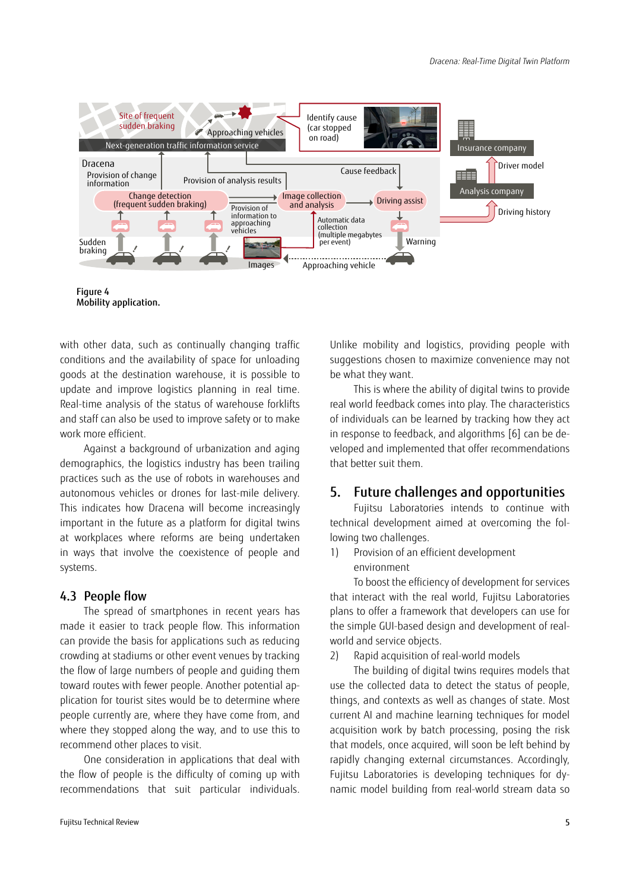

Figure 4 Mobility application.

with other data, such as continually changing traffic conditions and the availability of space for unloading goods at the destination warehouse, it is possible to update and improve logistics planning in real time. Real-time analysis of the status of warehouse forklifts and staff can also be used to improve safety or to make work more efficient.

Against a background of urbanization and aging demographics, the logistics industry has been trailing practices such as the use of robots in warehouses and autonomous vehicles or drones for last-mile delivery. This indicates how Dracena will become increasingly important in the future as a platform for digital twins at workplaces where reforms are being undertaken in ways that involve the coexistence of people and systems.

## 4.3 People flow

The spread of smartphones in recent years has made it easier to track people flow. This information can provide the basis for applications such as reducing crowding at stadiums or other event venues by tracking the flow of large numbers of people and guiding them toward routes with fewer people. Another potential application for tourist sites would be to determine where people currently are, where they have come from, and where they stopped along the way, and to use this to recommend other places to visit.

One consideration in applications that deal with the flow of people is the difficulty of coming up with recommendations that suit particular individuals. Unlike mobility and logistics, providing people with suggestions chosen to maximize convenience may not be what they want.

This is where the ability of digital twins to provide real world feedback comes into play. The characteristics of individuals can be learned by tracking how they act in response to feedback, and algorithms [\[6\]](#page-5-5) can be developed and implemented that offer recommendations that better suit them.

# 5. Future challenges and opportunities

Fujitsu Laboratories intends to continue with technical development aimed at overcoming the following two challenges.

1) Provision of an efficient development environment

To boost the efficiency of development for services that interact with the real world, Fujitsu Laboratories plans to offer a framework that developers can use for the simple GUI-based design and development of realworld and service objects.

2) Rapid acquisition of real-world models

The building of digital twins requires models that use the collected data to detect the status of people, things, and contexts as well as changes of state. Most current AI and machine learning techniques for model acquisition work by batch processing, posing the risk that models, once acquired, will soon be left behind by rapidly changing external circumstances. Accordingly, Fujitsu Laboratories is developing techniques for dynamic model building from real-world stream data so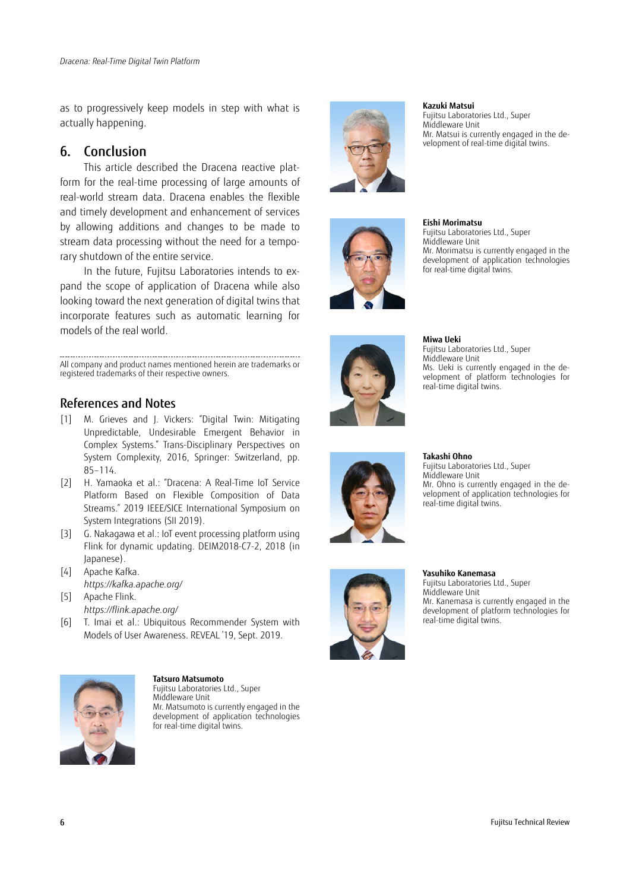as to progressively keep models in step with what is actually happening.

## 6. Conclusion

This article described the Dracena reactive platform for the real-time processing of large amounts of real-world stream data. Dracena enables the flexible and timely development and enhancement of services by allowing additions and changes to be made to stream data processing without the need for a temporary shutdown of the entire service.

In the future, Fujitsu Laboratories intends to expand the scope of application of Dracena while also looking toward the next generation of digital twins that incorporate features such as automatic learning for models of the real world.

All company and product names mentioned herein are trademarks or registered trademarks of their respective owners.

#### References and Notes

- <span id="page-5-0"></span>[1] M. Grieves and J. Vickers: "Digital Twin: Mitigating Unpredictable, Undesirable Emergent Behavior in Complex Systems." Trans-Disciplinary Perspectives on System Complexity, 2016, Springer: Switzerland, pp. 85–114.
- <span id="page-5-1"></span>[2] H. Yamaoka et al.: "Dracena: A Real-Time IoT Service Platform Based on Flexible Composition of Data Streams." 2019 IEEE/SICE International Symposium on System Integrations (SII 2019).
- <span id="page-5-2"></span>[3] G. Nakagawa et al.: IoT event processing platform using Flink for dynamic updating. DEIM2018-C7-2, 2018 (in Japanese).
- <span id="page-5-3"></span>[4] Apache Kafka. *<https://kafka.apache.org/>*
- <span id="page-5-4"></span>[5] Apache Flink. *<https://flink.apache.org/>*
- <span id="page-5-5"></span>[6] T. Imai et al.: Ubiquitous Recommender System with Models of User Awareness. REVEAL '19, Sept. 2019.



**Tatsuro Matsumoto**

Fujitsu Laboratories Ltd., Super Middleware Unit Mr. Matsumoto is currently engaged in the development of application technologies for real-time digital twins.



**Kazuki Matsui**

Middleware Unit

**Eishi Morimatsu**

Middleware Unit

Fujitsu Laboratories Ltd., Super

Fujitsu Laboratories Ltd., Super

for real-time digital twins.

Mr. Matsui is currently engaged in the development of real-time digital twins.





**Miwa Ueki** Fujitsu Laboratories Ltd., Super Middleware Unit Ms. Ueki is currently engaged in the development of platform technologies for real-time digital twins.

Mr. Morimatsu is currently engaged in the development of application technologies



**Takashi Ohno** Fujitsu Laboratories Ltd., Super Middleware Unit Mr. Ohno is currently engaged in the development of application technologies for real-time digital twins.



**Yasuhiko Kanemasa** Fujitsu Laboratories Ltd., Super Middleware Unit Mr. Kanemasa is currently engaged in the development of platform technologies for real-time digital twins.